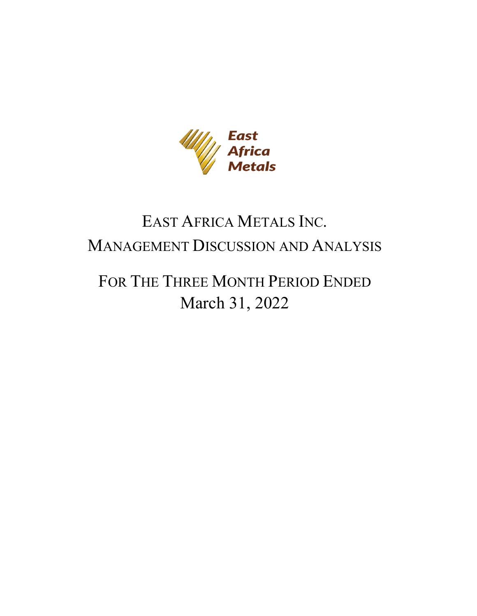

# EAST AFRICA METALS INC. MANAGEMENT DISCUSSION AND ANALYSIS

# FOR THE THREE MONTH PERIOD ENDED March 31, 2022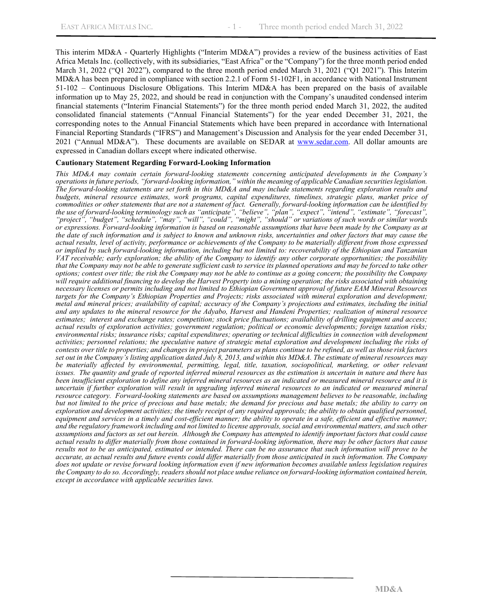This interim MD&A - Quarterly Highlights ("Interim MD&A") provides a review of the business activities of East Africa Metals Inc. (collectively, with its subsidiaries, "East Africa" or the "Company") for the three month period ended March 31, 2022 ("Q1 2022"), compared to the three month period ended March 31, 2021 ("Q1 2021"). This Interim MD&A has been prepared in compliance with section 2.2.1 of Form 51-102F1, in accordance with National Instrument 51-102 – Continuous Disclosure Obligations. This Interim MD&A has been prepared on the basis of available information up to May 25, 2022, and should be read in conjunction with the Company's unaudited condensed interim financial statements ("Interim Financial Statements") for the three month period ended March 31, 2022, the audited consolidated financial statements ("Annual Financial Statements") for the year ended December 31, 2021, the corresponding notes to the Annual Financial Statements which have been prepared in accordance with International Financial Reporting Standards ("IFRS") and Management's Discussion and Analysis for the year ended December 31, 2021 ("Annual MD&A"). These documents are available on SEDAR at [www.sedar.com.](http://www.sedar.com/) All dollar amounts are expressed in Canadian dollars except where indicated otherwise.

#### **Cautionary Statement Regarding Forward-Looking Information**

*This MD&A may contain certain forward-looking statements concerning anticipated developments in the Company's operations in future periods, "forward-looking information," within the meaning of applicable Canadian securities legislation. The forward-looking statements are set forth in this MD&A and may include statements regarding exploration results and budgets, mineral resource estimates, work programs, capital expenditures, timelines, strategic plans, market price of commodities or other statements that are not a statement of fact. Generally, forward-looking information can be identified by the use of forward-looking terminology such as "anticipate", "believe", "plan", "expect", "intend", "estimate", "forecast", "project", "budget", "schedule", "may", "will", "could", "might", "should" or variations of such words or similar words or expressions. Forward-looking information is based on reasonable assumptions that have been made by the Company as at the date of such information and is subject to known and unknown risks, uncertainties and other factors that may cause the actual results, level of activity, performance or achievements of the Company to be materially different from those expressed or implied by such forward-looking information, including but not limited to: recoverability of the Ethiopian and Tanzanian VAT receivable; early exploration; the ability of the Company to identify any other corporate opportunities; the possibility that the Company may not be able to generate sufficient cash to service its planned operations and may be forced to take other options; contest over title; the risk the Company may not be able to continue as a going concern; the possibility the Company will require additional financing to develop the Harvest Property into a mining operation; the risks associated with obtaining necessary licenses or permits including and not limited to Ethiopian Government approval of future EAM Mineral Resources targets for the Company's Ethiopian Properties and Projects; risks associated with mineral exploration and development; metal and mineral prices; availability of capital; accuracy of the Company's projections and estimates, including the initial and any updates to the mineral resource for the Adyabo, Harvest and Handeni Properties; realization of mineral resource estimates; interest and exchange rates; competition; stock price fluctuations; availability of drilling equipment and access; actual results of exploration activities; government regulation; political or economic developments; foreign taxation risks; environmental risks; insurance risks; capital expenditures; operating or technical difficulties in connection with development activities; personnel relations; the speculative nature of strategic metal exploration and development including the risks of contests over title to properties; and changes in project parameters as plans continue to be refined, as well as those risk factors set out in the Company's listing application dated July 8, 2013, and within this MD&A. The estimate of mineral resources may be materially affected by environmental, permitting, legal, title, taxation, sociopolitical, marketing, or other relevant issues. The quantity and grade of reported inferred mineral resources as the estimation is uncertain in nature and there has been insufficient exploration to define any inferred mineral resources as an indicated or measured mineral resource and it is uncertain if further exploration will result in upgrading inferred mineral resources to an indicated or measured mineral resource category. Forward-looking statements are based on assumptions management believes to be reasonable, including but not limited to the price of precious and base metals; the demand for precious and base metals; the ability to carry on exploration and development activities; the timely receipt of any required approvals; the ability to obtain qualified personnel, equipment and services in a timely and cost-efficient manner; the ability to operate in a safe, efficient and effective manner; and the regulatory framework including and not limited to license approvals, social and environmental matters, and such other assumptions and factors as set out herein. Although the Company has attempted to identify important factors that could cause actual results to differ materially from those contained in forward-looking information, there may be other factors that cause results not to be as anticipated, estimated or intended. There can be no assurance that such information will prove to be accurate, as actual results and future events could differ materially from those anticipated in such information. The Company does not update or revise forward looking information even if new information becomes available unless legislation requires the Company to do so. Accordingly, readers should not place undue reliance on forward-looking information contained herein, except in accordance with applicable securities laws.*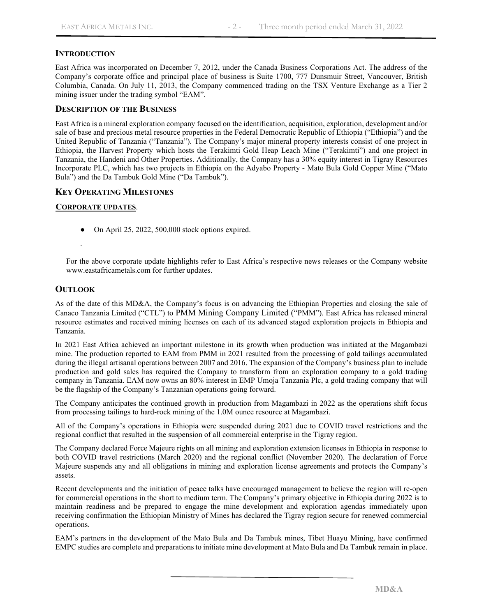## **INTRODUCTION**

East Africa was incorporated on December 7, 2012, under the Canada Business Corporations Act. The address of the Company's corporate office and principal place of business is Suite 1700, 777 Dunsmuir Street, Vancouver, British Columbia, Canada. On July 11, 2013, the Company commenced trading on the TSX Venture Exchange as a Tier 2 mining issuer under the trading symbol "EAM".

## **DESCRIPTION OF THE BUSINESS**

East Africa is a mineral exploration company focused on the identification, acquisition, exploration, development and/or sale of base and precious metal resource properties in the Federal Democratic Republic of Ethiopia ("Ethiopia") and the United Republic of Tanzania ("Tanzania"). The Company's major mineral property interests consist of one project in Ethiopia, the Harvest Property which hosts the Terakimti Gold Heap Leach Mine ("Terakimti") and one project in Tanzania, the Handeni and Other Properties. Additionally, the Company has a 30% equity interest in Tigray Resources Incorporate PLC, which has two projects in Ethiopia on the Adyabo Property - Mato Bula Gold Copper Mine ("Mato Bula") and the Da Tambuk Gold Mine ("Da Tambuk").

## **KEY OPERATING MILESTONES**

## **CORPORATE UPDATES**.

● On April 25, 2022, 500,000 stock options expired.

For the above corporate update highlights refer to East Africa's respective news releases or the Company website www.eastafricametals.com for further updates.

## **OUTLOOK**

.

As of the date of this MD&A, the Company's focus is on advancing the Ethiopian Properties and closing the sale of Canaco Tanzania Limited ("CTL") to PMM Mining Company Limited ("PMM"). East Africa has released mineral resource estimates and received mining licenses on each of its advanced staged exploration projects in Ethiopia and Tanzania.

In 2021 East Africa achieved an important milestone in its growth when production was initiated at the Magambazi mine. The production reported to EAM from PMM in 2021 resulted from the processing of gold tailings accumulated during the illegal artisanal operations between 2007 and 2016. The expansion of the Company's business plan to include production and gold sales has required the Company to transform from an exploration company to a gold trading company in Tanzania. EAM now owns an 80% interest in EMP Umoja Tanzania Plc, a gold trading company that will be the flagship of the Company's Tanzanian operations going forward.

The Company anticipates the continued growth in production from Magambazi in 2022 as the operations shift focus from processing tailings to hard-rock mining of the 1.0M ounce resource at Magambazi.

All of the Company's operations in Ethiopia were suspended during 2021 due to COVID travel restrictions and the regional conflict that resulted in the suspension of all commercial enterprise in the Tigray region.

The Company declared Force Majeure rights on all mining and exploration extension licenses in Ethiopia in response to both COVID travel restrictions (March 2020) and the regional conflict (November 2020). The declaration of Force Majeure suspends any and all obligations in mining and exploration license agreements and protects the Company's assets.

Recent developments and the initiation of peace talks have encouraged management to believe the region will re-open for commercial operations in the short to medium term. The Company's primary objective in Ethiopia during 2022 is to maintain readiness and be prepared to engage the mine development and exploration agendas immediately upon receiving confirmation the Ethiopian Ministry of Mines has declared the Tigray region secure for renewed commercial operations.

EAM's partners in the development of the Mato Bula and Da Tambuk mines, Tibet Huayu Mining, have confirmed EMPC studies are complete and preparations to initiate mine development at Mato Bula and Da Tambuk remain in place.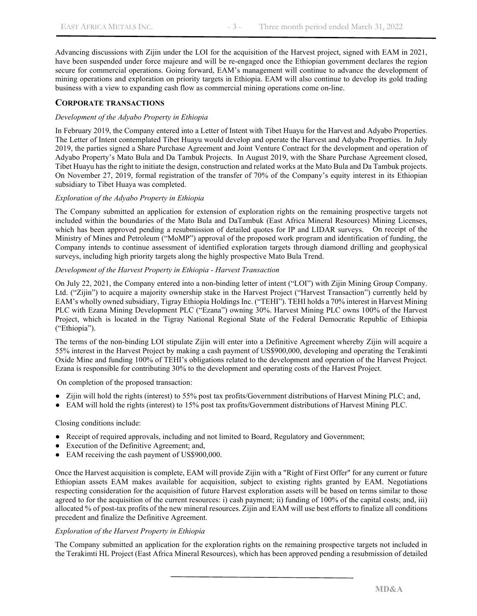Advancing discussions with Zijin under the LOI for the acquisition of the Harvest project, signed with EAM in 2021, have been suspended under force majeure and will be re-engaged once the Ethiopian government declares the region secure for commercial operations. Going forward, EAM's management will continue to advance the development of mining operations and exploration on priority targets in Ethiopia. EAM will also continue to develop its gold trading business with a view to expanding cash flow as commercial mining operations come on-line.

## **CORPORATE TRANSACTIONS**

#### *Development of the Adyabo Property in Ethiopia*

In February 2019, the Company entered into a Letter of Intent with Tibet Huayu for the Harvest and Adyabo Properties. The Letter of Intent contemplated Tibet Huayu would develop and operate the Harvest and Adyabo Properties. In July 2019, the parties signed a Share Purchase Agreement and Joint Venture Contract for the development and operation of Adyabo Property's Mato Bula and Da Tambuk Projects. In August 2019, with the Share Purchase Agreement closed, Tibet Huayu has the right to initiate the design, construction and related works at the Mato Bula and Da Tambuk projects. On November 27, 2019, formal registration of the transfer of 70% of the Company's equity interest in its Ethiopian subsidiary to Tibet Huaya was completed.

#### *Exploration of the Adyabo Property in Ethiopia*

The Company submitted an application for extension of exploration rights on the remaining prospective targets not included within the boundaries of the Mato Bula and DaTambuk (East Africa Mineral Resources) Mining Licenses, which has been approved pending a resubmission of detailed quotes for IP and LIDAR surveys. On receipt of the Ministry of Mines and Petroleum ("MoMP") approval of the proposed work program and identification of funding, the Company intends to continue assessment of identified exploration targets through diamond drilling and geophysical surveys, including high priority targets along the highly prospective Mato Bula Trend.

#### *Development of the Harvest Property in Ethiopia - Harvest Transaction*

On July 22, 2021, the Company entered into a non-binding letter of intent ("LOI") with Zijin Mining Group Company. Ltd. ("Zijin") to acquire a majority ownership stake in the Harvest Project ("Harvest Transaction") currently held by EAM's wholly owned subsidiary, Tigray Ethiopia Holdings Inc. ("TEHI"). TEHI holds a 70% interest in Harvest Mining PLC with Ezana Mining Development PLC ("Ezana") owning 30%. Harvest Mining PLC owns 100% of the Harvest Project, which is located in the Tigray National Regional State of the Federal Democratic Republic of Ethiopia ("Ethiopia").

The terms of the non-binding LOI stipulate Zijin will enter into a Definitive Agreement whereby Zijin will acquire a 55% interest in the Harvest Project by making a cash payment of US\$900,000, developing and operating the Terakimti Oxide Mine and funding 100% of TEHI's obligations related to the development and operation of the Harvest Project. Ezana is responsible for contributing 30% to the development and operating costs of the Harvest Project.

On completion of the proposed transaction:

- Zijin will hold the rights (interest) to 55% post tax profits/Government distributions of Harvest Mining PLC; and,
- EAM will hold the rights (interest) to 15% post tax profits/Government distributions of Harvest Mining PLC.

#### Closing conditions include:

- Receipt of required approvals, including and not limited to Board, Regulatory and Government;
- Execution of the Definitive Agreement; and,
- EAM receiving the cash payment of US\$900,000.

Once the Harvest acquisition is complete, EAM will provide Zijin with a "Right of First Offer" for any current or future Ethiopian assets EAM makes available for acquisition, subject to existing rights granted by EAM. Negotiations respecting consideration for the acquisition of future Harvest exploration assets will be based on terms similar to those agreed to for the acquisition of the current resources: i) cash payment; ii) funding of 100% of the capital costs; and, iii) allocated % of post-tax profits of the new mineral resources. Zijin and EAM will use best efforts to finalize all conditions precedent and finalize the Definitive Agreement.

#### *Exploration of the Harvest Property in Ethiopia*

The Company submitted an application for the exploration rights on the remaining prospective targets not included in the Terakimti HL Project (East Africa Mineral Resources), which has been approved pending a resubmission of detailed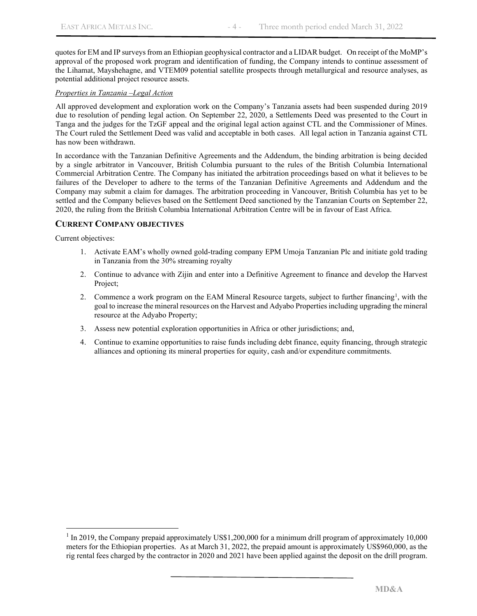quotes for EM and IP surveys from an Ethiopian geophysical contractor and a LIDAR budget. On receipt of the MoMP's approval of the proposed work program and identification of funding, the Company intends to continue assessment of the Lihamat, Mayshehagne, and VTEM09 potential satellite prospects through metallurgical and resource analyses, as potential additional project resource assets.

## *Properties in Tanzania –Legal Action*

All approved development and exploration work on the Company's Tanzania assets had been suspended during 2019 due to resolution of pending legal action. On September 22, 2020, a Settlements Deed was presented to the Court in Tanga and the judges for the TzGF appeal and the original legal action against CTL and the Commissioner of Mines. The Court ruled the Settlement Deed was valid and acceptable in both cases. All legal action in Tanzania against CTL has now been withdrawn.

In accordance with the Tanzanian Definitive Agreements and the Addendum, the binding arbitration is being decided by a single arbitrator in Vancouver, British Columbia pursuant to the rules of the British Columbia International Commercial Arbitration Centre. The Company has initiated the arbitration proceedings based on what it believes to be failures of the Developer to adhere to the terms of the Tanzanian Definitive Agreements and Addendum and the Company may submit a claim for damages. The arbitration proceeding in Vancouver, British Columbia has yet to be settled and the Company believes based on the Settlement Deed sanctioned by the Tanzanian Courts on September 22, 2020, the ruling from the British Columbia International Arbitration Centre will be in favour of East Africa.

## **CURRENT COMPANY OBJECTIVES**

Current objectives:

- 1. Activate EAM's wholly owned gold-trading company EPM Umoja Tanzanian Plc and initiate gold trading in Tanzania from the 30% streaming royalty
- 2. Continue to advance with Zijin and enter into a Definitive Agreement to finance and develop the Harvest Project;
- 2. Commence a work program on the EAM Mineral Resource targets, subject to further financing<sup>[1](#page-4-0)</sup>, with the goal to increase the mineral resources on the Harvest and Adyabo Properties including upgrading the mineral resource at the Adyabo Property;
- 3. Assess new potential exploration opportunities in Africa or other jurisdictions; and,
- 4. Continue to examine opportunities to raise funds including debt finance, equity financing, through strategic alliances and optioning its mineral properties for equity, cash and/or expenditure commitments.

<span id="page-4-0"></span><sup>&</sup>lt;sup>1</sup> In 2019, the Company prepaid approximately US\$1,200,000 for a minimum drill program of approximately 10,000 meters for the Ethiopian properties. As at March 31, 2022, the prepaid amount is approximately US\$960,000, as the rig rental fees charged by the contractor in 2020 and 2021 have been applied against the deposit on the drill program.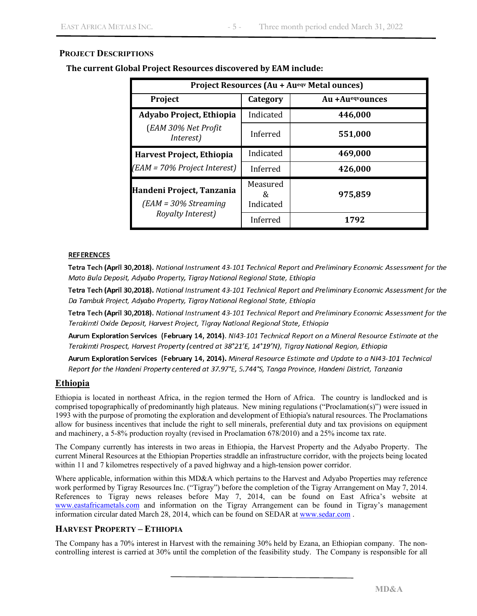## **PROJECT DESCRIPTIONS**

**The current Global Project Resources discovered by EAM include:**

| <b>Project Resources (Au + Aueqv Metal ounces)</b>   |                            |                 |  |  |  |  |
|------------------------------------------------------|----------------------------|-----------------|--|--|--|--|
| Project                                              | Category                   | Au +Aueqvounces |  |  |  |  |
| Adyabo Project, Ethiopia                             | Indicated                  | 446,000         |  |  |  |  |
| (EAM 30% Net Profit<br><i>Interest</i> )             | Inferred                   | 551,000         |  |  |  |  |
| Harvest Project, Ethiopia                            | Indicated                  | 469,000         |  |  |  |  |
| (EAM = 70% Project Interest)                         | Inferred                   | 426,000         |  |  |  |  |
| Handeni Project, Tanzania<br>$(EAM = 30\%$ Streaming | Measured<br>&<br>Indicated | 975,859         |  |  |  |  |
| <b>Royalty Interest)</b>                             | Inferred                   | 1792            |  |  |  |  |

#### **REFERENCES**

Tetra Tech (April 30,2018). National Instrument 43-101 Technical Report and Preliminary Economic Assessment for the Mato Bula Deposit, Adyabo Property, Tigray National Regional State, Ethiopia

Tetra Tech (April 30,2018). National Instrument 43-101 Technical Report and Preliminary Economic Assessment for the Da Tambuk Project, Adyabo Property, Tigray National Regional State, Ethiopia

Tetra Tech (April 30,2018). National Instrument 43-101 Technical Report and Preliminary Economic Assessment for the Terakimti Oxide Deposit, Harvest Project, Tigray National Regional State, Ethiopia

Aurum Exploration Services (February 14, 2014). NI43-101 Technical Report on a Mineral Resource Estimate at the Terakimti Prospect, Harvest Property (centred at 38°21'E, 14°19'N), Tigray National Region, Ethiopia

Aurum Exploration Services (February 14, 2014). Mineral Resource Estimate and Update to a NI43-101 Technical Report for the Handeni Property centered at 37.97°E, 5.744°S, Tanga Province, Handeni District, Tanzania

## **Ethiopia**

Ethiopia is located in northeast Africa, in the region termed the Horn of Africa. The country is landlocked and is comprised topographically of predominantly high plateaus. New mining regulations ("Proclamation(s)") were issued in 1993 with the purpose of promoting the exploration and development of Ethiopia's natural resources. The Proclamations allow for business incentives that include the right to sell minerals, preferential duty and tax provisions on equipment and machinery, a 5-8% production royalty (revised in Proclamation 678/2010) and a 25% income tax rate.

The Company currently has interests in two areas in Ethiopia, the Harvest Property and the Adyabo Property. The current Mineral Resources at the Ethiopian Properties straddle an infrastructure corridor, with the projects being located within 11 and 7 kilometres respectively of a paved highway and a high-tension power corridor.

Where applicable, information within this MD&A which pertains to the Harvest and Adyabo Properties may reference work performed by Tigray Resources Inc. ("Tigray") before the completion of the Tigray Arrangement on May 7, 2014. References to Tigray news releases before May 7, 2014, can be found on East Africa's website at [www.eastafricametals.com](http://www.eastafricametals.com/) and information on the Tigray Arrangement can be found in Tigray's management information circular dated March 28, 2014, which can be found on SEDAR at [www.sedar.com](http://www.sedar.com/) .

## **HARVEST PROPERTY – ETHIOPIA**

The Company has a 70% interest in Harvest with the remaining 30% held by Ezana, an Ethiopian company. The noncontrolling interest is carried at 30% until the completion of the feasibility study. The Company is responsible for all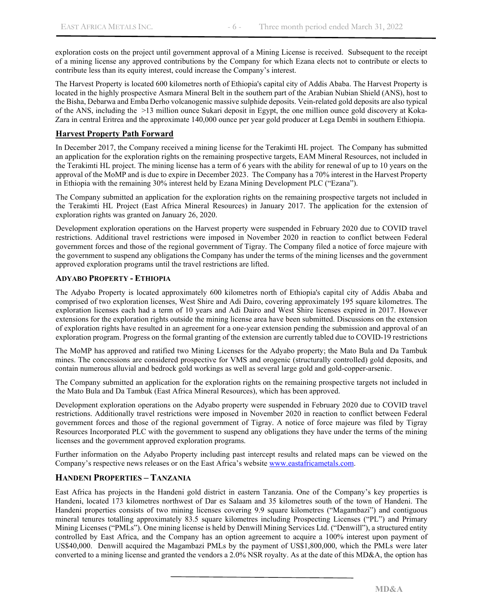exploration costs on the project until government approval of a Mining License is received. Subsequent to the receipt of a mining license any approved contributions by the Company for which Ezana elects not to contribute or elects to contribute less than its equity interest, could increase the Company's interest.

The Harvest Property is located 600 kilometres north of Ethiopia's capital city of Addis Ababa. The Harvest Property is located in the highly prospective Asmara Mineral Belt in the southern part of the Arabian Nubian Shield (ANS), host to the Bisha, Debarwa and Emba Derho volcanogenic massive sulphide deposits. Vein-related gold deposits are also typical of the ANS, including the >13 million ounce Sukari deposit in Egypt, the one million ounce gold discovery at Koka-Zara in central Eritrea and the approximate 140,000 ounce per year gold producer at Lega Dembi in southern Ethiopia.

## **Harvest Property Path Forward**

In December 2017, the Company received a mining license for the Terakimti HL project. The Company has submitted an application for the exploration rights on the remaining prospective targets, EAM Mineral Resources, not included in the Terakimti HL project. The mining license has a term of 6 years with the ability for renewal of up to 10 years on the approval of the MoMP and is due to expire in December 2023. The Company has a 70% interest in the Harvest Property in Ethiopia with the remaining 30% interest held by Ezana Mining Development PLC ("Ezana").

The Company submitted an application for the exploration rights on the remaining prospective targets not included in the Terakimti HL Project (East Africa Mineral Resources) in January 2017. The application for the extension of exploration rights was granted on January 26, 2020.

Development exploration operations on the Harvest property were suspended in February 2020 due to COVID travel restrictions. Additional travel restrictions were imposed in November 2020 in reaction to conflict between Federal government forces and those of the regional government of Tigray. The Company filed a notice of force majeure with the government to suspend any obligations the Company has under the terms of the mining licenses and the government approved exploration programs until the travel restrictions are lifted.

## **ADYABO PROPERTY - ETHIOPIA**

The Adyabo Property is located approximately 600 kilometres north of Ethiopia's capital city of Addis Ababa and comprised of two exploration licenses, West Shire and Adi Dairo, covering approximately 195 square kilometres. The exploration licenses each had a term of 10 years and Adi Dairo and West Shire licenses expired in 2017. However extensions for the exploration rights outside the mining license area have been submitted. Discussions on the extension of exploration rights have resulted in an agreement for a one-year extension pending the submission and approval of an exploration program. Progress on the formal granting of the extension are currently tabled due to COVID-19 restrictions

The MoMP has approved and ratified two Mining Licenses for the Adyabo property; the Mato Bula and Da Tambuk mines. The concessions are considered prospective for VMS and orogenic (structurally controlled) gold deposits, and contain numerous alluvial and bedrock gold workings as well as several large gold and gold-copper-arsenic.

The Company submitted an application for the exploration rights on the remaining prospective targets not included in the Mato Bula and Da Tambuk (East Africa Mineral Resources), which has been approved.

Development exploration operations on the Adyabo property were suspended in February 2020 due to COVID travel restrictions. Additionally travel restrictions were imposed in November 2020 in reaction to conflict between Federal government forces and those of the regional government of Tigray. A notice of force majeure was filed by Tigray Resources Incorporated PLC with the government to suspend any obligations they have under the terms of the mining licenses and the government approved exploration programs.

Further information on the Adyabo Property including past intercept results and related maps can be viewed on the Company's respective news releases or on the East Africa's website [www.eastafricametals.com.](http://www.eastafricametals.com/)

## **HANDENI PROPERTIES – TANZANIA**

East Africa has projects in the Handeni gold district in eastern Tanzania. One of the Company's key properties is Handeni, located 173 kilometres northwest of Dar es Salaam and 35 kilometres south of the town of Handeni. The Handeni properties consists of two mining licenses covering 9.9 square kilometres ("Magambazi") and contiguous mineral tenures totalling approximately 83.5 square kilometres including Prospecting Licenses ("PL") and Primary Mining Licenses ("PMLs"). One mining license is held by Denwill Mining Services Ltd. ("Denwill"), a structured entity controlled by East Africa, and the Company has an option agreement to acquire a 100% interest upon payment of US\$40,000. Denwill acquired the Magambazi PMLs by the payment of US\$1,800,000, which the PMLs were later converted to a mining license and granted the vendors a 2.0% NSR royalty. As at the date of this MD&A, the option has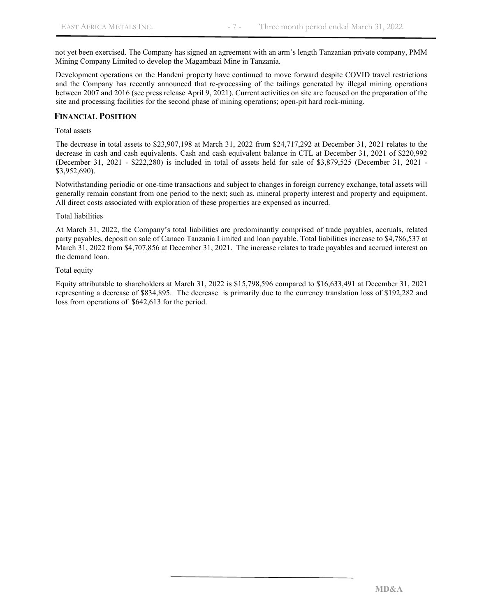not yet been exercised. The Company has signed an agreement with an arm's length Tanzanian private company, PMM Mining Company Limited to develop the Magambazi Mine in Tanzania.

Development operations on the Handeni property have continued to move forward despite COVID travel restrictions and the Company has recently announced that re-processing of the tailings generated by illegal mining operations between 2007 and 2016 (see press release April 9, 2021). Current activities on site are focused on the preparation of the site and processing facilities for the second phase of mining operations; open-pit hard rock-mining.

## **FINANCIAL POSITION**

#### Total assets

The decrease in total assets to \$23,907,198 at March 31, 2022 from \$24,717,292 at December 31, 2021 relates to the decrease in cash and cash equivalents. Cash and cash equivalent balance in CTL at December 31, 2021 of \$220,992 (December 31, 2021 - \$222,280) is included in total of assets held for sale of \$3,879,525 (December 31, 2021 - \$3,952,690).

Notwithstanding periodic or one-time transactions and subject to changes in foreign currency exchange, total assets will generally remain constant from one period to the next; such as, mineral property interest and property and equipment. All direct costs associated with exploration of these properties are expensed as incurred.

#### Total liabilities

At March 31, 2022, the Company's total liabilities are predominantly comprised of trade payables, accruals, related party payables, deposit on sale of Canaco Tanzania Limited and loan payable. Total liabilities increase to \$4,786,537 at March 31, 2022 from \$4,707,856 at December 31, 2021. The increase relates to trade payables and accrued interest on the demand loan.

#### Total equity

Equity attributable to shareholders at March 31, 2022 is \$15,798,596 compared to \$16,633,491 at December 31, 2021 representing a decrease of \$834,895. The decrease is primarily due to the currency translation loss of \$192,282 and loss from operations of \$642,613 for the period.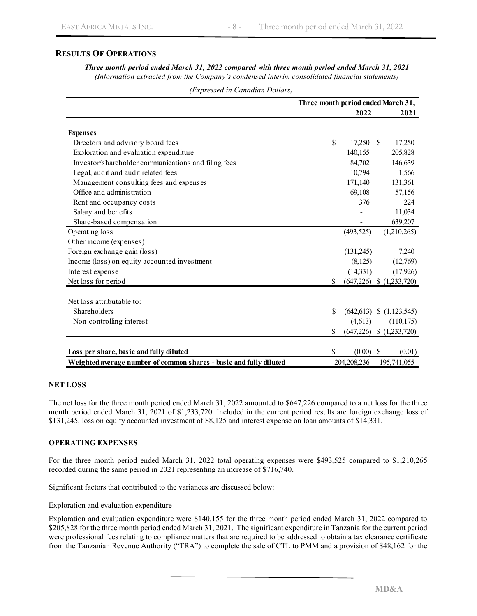#### **RESULTS OF OPERATIONS**

*Three month period ended March 31, 2022 compared with three month period ended March 31, 2021 (Information extracted from the Company's condensed interim consolidated financial statements)* 

|                                                                    | Three month period ended March 31, |               |               |                                 |
|--------------------------------------------------------------------|------------------------------------|---------------|---------------|---------------------------------|
|                                                                    |                                    | 2022          |               | 2021                            |
| <b>Expenses</b>                                                    |                                    |               |               |                                 |
| Directors and advisory board fees                                  | \$                                 | 17,250        | <sup>\$</sup> | 17,250                          |
| Exploration and evaluation expenditure                             |                                    | 140,155       |               | 205,828                         |
| Investor/shareholder communications and filing fees                |                                    | 84,702        |               | 146,639                         |
| Legal, audit and audit related fees                                |                                    | 10,794        |               | 1,566                           |
| Management consulting fees and expenses                            |                                    | 171,140       |               | 131,361                         |
| Office and administration                                          |                                    | 69,108        |               | 57,156                          |
| Rent and occupancy costs                                           |                                    | 376           |               | 224                             |
| Salary and benefits                                                |                                    |               |               | 11,034                          |
| Share-based compensation                                           |                                    |               |               | 639,207                         |
| Operating loss                                                     |                                    | (493, 525)    |               | (1,210,265)                     |
| Other income (expenses)                                            |                                    |               |               |                                 |
| Foreign exchange gain (loss)                                       |                                    | (131,245)     |               | 7,240                           |
| Income (loss) on equity accounted investment                       |                                    | (8,125)       |               | (12,769)                        |
| Interest expense                                                   |                                    | (14, 331)     |               | (17, 926)                       |
| Net loss for period                                                | \$                                 |               |               | $(647,226)$ \$ $(1,233,720)$    |
|                                                                    |                                    |               |               |                                 |
| Net loss attributable to:                                          |                                    |               |               |                                 |
| Shareholders                                                       | \$                                 |               |               | $(642, 613)$ \$ $(1, 123, 545)$ |
| Non-controlling interest                                           |                                    | (4,613)       |               | (110, 175)                      |
|                                                                    | \$                                 | (647, 226)    |               | (1,233,720)                     |
|                                                                    |                                    |               |               |                                 |
| Loss per share, basic and fully diluted                            | \$                                 | $(0.00)$ \$   |               | (0.01)                          |
| Weighted average number of common shares - basic and fully diluted |                                    | 204, 208, 236 |               | 195,741,055                     |

*(Expressed in Canadian Dollars)* 

## **NET LOSS**

The net loss for the three month period ended March 31, 2022 amounted to \$647,226 compared to a net loss for the three month period ended March 31, 2021 of \$1,233,720. Included in the current period results are foreign exchange loss of \$131,245, loss on equity accounted investment of \$8,125 and interest expense on loan amounts of \$14,331.

#### **OPERATING EXPENSES**

For the three month period ended March 31, 2022 total operating expenses were \$493,525 compared to \$1,210,265 recorded during the same period in 2021 representing an increase of \$716,740.

Significant factors that contributed to the variances are discussed below:

Exploration and evaluation expenditure

Exploration and evaluation expenditure were \$140,155 for the three month period ended March 31, 2022 compared to \$205,828 for the three month period ended March 31, 2021. The significant expenditure in Tanzania for the current period were professional fees relating to compliance matters that are required to be addressed to obtain a tax clearance certificate from the Tanzanian Revenue Authority ("TRA") to complete the sale of CTL to PMM and a provision of \$48,162 for the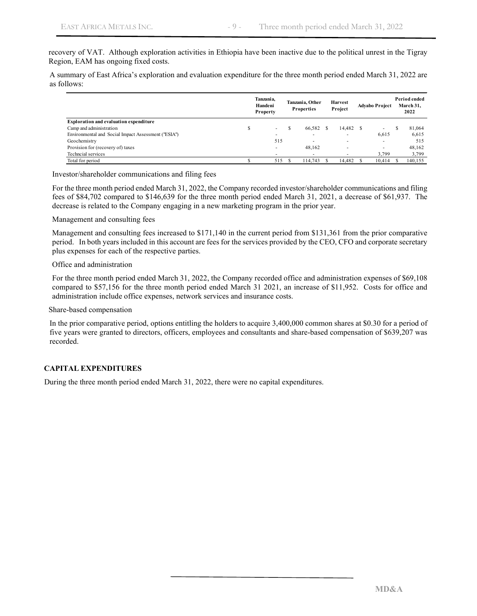recovery of VAT. Although exploration activities in Ethiopia have been inactive due to the political unrest in the Tigray Region, EAM has ongoing fixed costs.

A summary of East Africa's exploration and evaluation expenditure for the three month period ended March 31, 2022 are as follows:

|                                                     | Tanzania,<br>Handeni<br>Property |                          | Tanzania, Other<br><b>Properties</b> | <b>Harvest</b><br>Project | Advabo Project           | Period ended<br>March 31,<br>2022 |
|-----------------------------------------------------|----------------------------------|--------------------------|--------------------------------------|---------------------------|--------------------------|-----------------------------------|
| <b>Exploration and evaluation expenditure</b>       |                                  |                          |                                      |                           |                          |                                   |
| Camp and administration                             |                                  | $\overline{\phantom{a}}$ | 66.582                               | 14.482 \$                 | <b>COL</b>               | 81,064                            |
| Environmental and Social Impact Assessment ("ESIA") |                                  | $\overline{\phantom{a}}$ | $\overline{\phantom{a}}$             |                           | 6,615                    | 6,615                             |
| Geochemistry                                        |                                  | 515                      |                                      |                           |                          | 515                               |
| Provision for (recovery of) taxes                   |                                  | $\overline{\phantom{a}}$ | 48.162                               | $\overline{\phantom{a}}$  | $\overline{\phantom{a}}$ | 48.162                            |
| Techncial services                                  |                                  |                          | $\overline{\phantom{a}}$             |                           | 3,799                    | 3,799                             |
| Total for period                                    |                                  | 515                      | 114,743                              | 14.482                    | 10.414                   | 140,155                           |

#### Investor/shareholder communications and filing fees

For the three month period ended March 31, 2022, the Company recorded investor/shareholder communications and filing fees of \$84,702 compared to \$146,639 for the three month period ended March 31, 2021, a decrease of \$61,937. The decrease is related to the Company engaging in a new marketing program in the prior year.

#### Management and consulting fees

Management and consulting fees increased to \$171,140 in the current period from \$131,361 from the prior comparative period. In both years included in this account are fees for the services provided by the CEO, CFO and corporate secretary plus expenses for each of the respective parties.

#### Office and administration

For the three month period ended March 31, 2022, the Company recorded office and administration expenses of \$69,108 compared to \$57,156 for the three month period ended March 31 2021, an increase of \$11,952. Costs for office and administration include office expenses, network services and insurance costs.

Share-based compensation

In the prior comparative period, options entitling the holders to acquire 3,400,000 common shares at \$0.30 for a period of five years were granted to directors, officers, employees and consultants and share-based compensation of \$639,207 was recorded.

#### **CAPITAL EXPENDITURES**

During the three month period ended March 31, 2022, there were no capital expenditures.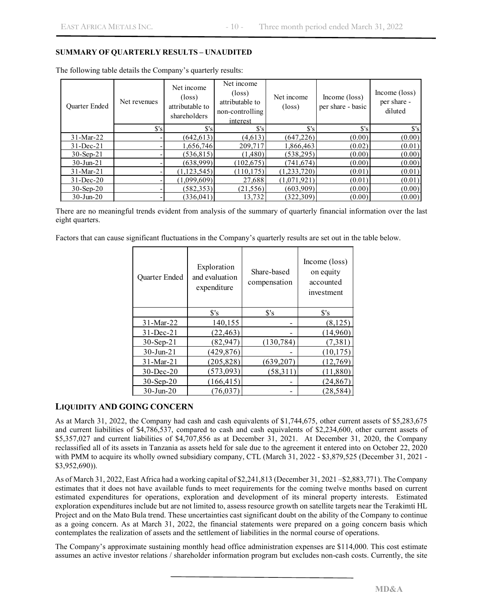#### **SUMMARY OF QUARTERLY RESULTS – UNAUDITED**

| Quarter Ended   | Net revenues | Net income<br>$(\text{loss})$<br>attributable to<br>shareholders | Net income<br>$(\text{loss})$<br>attributable to<br>non-controlling<br>interest | Net income<br>$(\text{loss})$ | Income (loss)<br>per share - basic | Income (loss)<br>per share -<br>diluted |
|-----------------|--------------|------------------------------------------------------------------|---------------------------------------------------------------------------------|-------------------------------|------------------------------------|-----------------------------------------|
|                 | S's          | S's                                                              | S's                                                                             | S's                           | S's                                | $\mathbf{\$\mathrm{s}$}$                |
| $31-Mar-22$     |              | (642, 613)                                                       | (4,613)                                                                         | (647,226)                     | (0.00)                             | (0.00)                                  |
| $31 - Dec-21$   |              | 1,656,746                                                        | 209,717                                                                         | 1,866,463                     | (0.02)                             | (0.01)                                  |
| $30-Sep-21$     |              | (536, 815)                                                       | (1,480)                                                                         | (538,295)                     | (0.00)                             | (0.00)                                  |
| $30 - Jun - 21$ |              | (638,999)                                                        | (102, 675)                                                                      | (741, 674)                    | (0.00)                             | (0.00)                                  |
| $31-Mar-21$     |              | (1, 123, 545)                                                    | (110, 175)                                                                      | (1,233,720)                   | (0.01)                             | (0.01)                                  |
| $31 - Dec-20$   |              | (1,099,609)                                                      | 27,688                                                                          | (1,071,921)                   | (0.01)                             | (0.01)                                  |
| $30-Sep-20$     |              | (582, 353)                                                       | (21, 556)                                                                       | (603,909)                     | (0.00)                             | (0.00)                                  |
| $30$ -Jun-20    |              | (336, 041)                                                       | 13,732                                                                          | (322,309)                     | (0.00)                             | (0.00)                                  |

The following table details the Company's quarterly results:

There are no meaningful trends evident from analysis of the summary of quarterly financial information over the last eight quarters.

Factors that can cause significant fluctuations in the Company's quarterly results are set out in the table below.

| Quarter Ended | Exploration<br>and evaluation<br>expenditure | Share-based<br>compensation | Income (loss)<br>on equity<br>accounted<br>investment |
|---------------|----------------------------------------------|-----------------------------|-------------------------------------------------------|
|               | S's                                          | S's                         | S's                                                   |
| $31-Mar-22$   | 140,155                                      |                             | (8, 125)                                              |
| $31 - Dec-21$ | (22, 463)                                    |                             | (14,960)                                              |
| $30-Sep-21$   | (82, 947)                                    | (130, 784)                  | (7, 381)                                              |
| $30$ -Jun-21  | (429, 876)                                   |                             | (10, 175)                                             |
| $31-Mar-21$   | (205, 828)                                   | (639, 207)                  | (12,769)                                              |
| $30$ -Dec-20  | (573, 093)                                   | (58,311)                    | (11, 880)                                             |
| $30-Sep-20$   | (166, 415)                                   |                             | (24, 867)                                             |
| $30$ -Jun-20  | (76, 037)                                    |                             | (28, 584)                                             |

## **LIQUIDITY AND GOING CONCERN**

As at March 31, 2022, the Company had cash and cash equivalents of \$1,744,675, other current assets of \$5,283,675 and current liabilities of \$4,786,537, compared to cash and cash equivalents of \$2,234,600, other current assets of \$5,357,027 and current liabilities of \$4,707,856 as at December 31, 2021. At December 31, 2020, the Company reclassified all of its assets in Tanzania as assets held for sale due to the agreement it entered into on October 22, 2020 with PMM to acquire its wholly owned subsidiary company, CTL (March 31, 2022 - \$3,879,525 (December 31, 2021 - \$3,952,690)).

As of March 31, 2022, East Africa had a working capital of \$2,241,813 (December 31, 2021 –\$2,883,771). The Company estimates that it does not have available funds to meet requirements for the coming twelve months based on current estimated expenditures for operations, exploration and development of its mineral property interests. Estimated exploration expenditures include but are not limited to, assess resource growth on satellite targets near the Terakimti HL Project and on the Mato Bula trend. These uncertainties cast significant doubt on the ability of the Company to continue as a going concern. As at March 31, 2022, the financial statements were prepared on a going concern basis which contemplates the realization of assets and the settlement of liabilities in the normal course of operations.

The Company's approximate sustaining monthly head office administration expenses are \$114,000. This cost estimate assumes an active investor relations / shareholder information program but excludes non-cash costs. Currently, the site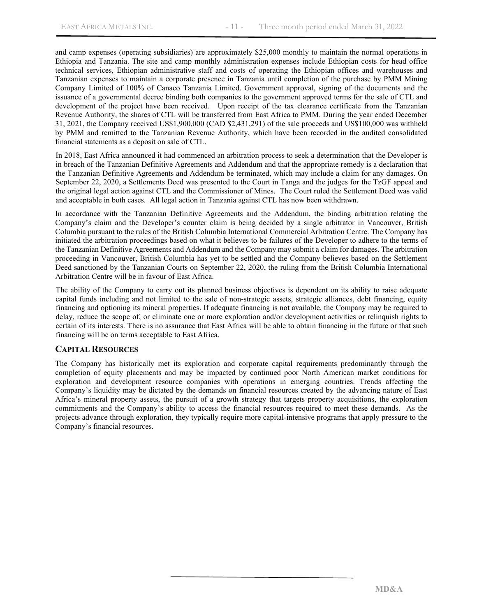and camp expenses (operating subsidiaries) are approximately \$25,000 monthly to maintain the normal operations in Ethiopia and Tanzania. The site and camp monthly administration expenses include Ethiopian costs for head office technical services, Ethiopian administrative staff and costs of operating the Ethiopian offices and warehouses and Tanzanian expenses to maintain a corporate presence in Tanzania until completion of the purchase by PMM Mining Company Limited of 100% of Canaco Tanzania Limited. Government approval, signing of the documents and the issuance of a governmental decree binding both companies to the government approved terms for the sale of CTL and development of the project have been received. Upon receipt of the tax clearance certificate from the Tanzanian Revenue Authority, the shares of CTL will be transferred from East Africa to PMM. During the year ended December 31, 2021, the Company received US\$1,900,000 (CAD \$2,431,291) of the sale proceeds and US\$100,000 was withheld by PMM and remitted to the Tanzanian Revenue Authority, which have been recorded in the audited consolidated financial statements as a deposit on sale of CTL.

In 2018, East Africa announced it had commenced an arbitration process to seek a determination that the Developer is in breach of the Tanzanian Definitive Agreements and Addendum and that the appropriate remedy is a declaration that the Tanzanian Definitive Agreements and Addendum be terminated, which may include a claim for any damages. On September 22, 2020, a Settlements Deed was presented to the Court in Tanga and the judges for the TzGF appeal and the original legal action against CTL and the Commissioner of Mines. The Court ruled the Settlement Deed was valid and acceptable in both cases. All legal action in Tanzania against CTL has now been withdrawn.

In accordance with the Tanzanian Definitive Agreements and the Addendum, the binding arbitration relating the Company's claim and the Developer's counter claim is being decided by a single arbitrator in Vancouver, British Columbia pursuant to the rules of the British Columbia International Commercial Arbitration Centre. The Company has initiated the arbitration proceedings based on what it believes to be failures of the Developer to adhere to the terms of the Tanzanian Definitive Agreements and Addendum and the Company may submit a claim for damages. The arbitration proceeding in Vancouver, British Columbia has yet to be settled and the Company believes based on the Settlement Deed sanctioned by the Tanzanian Courts on September 22, 2020, the ruling from the British Columbia International Arbitration Centre will be in favour of East Africa.

The ability of the Company to carry out its planned business objectives is dependent on its ability to raise adequate capital funds including and not limited to the sale of non-strategic assets, strategic alliances, debt financing, equity financing and optioning its mineral properties. If adequate financing is not available, the Company may be required to delay, reduce the scope of, or eliminate one or more exploration and/or development activities or relinquish rights to certain of its interests. There is no assurance that East Africa will be able to obtain financing in the future or that such financing will be on terms acceptable to East Africa.

## **CAPITAL RESOURCES**

The Company has historically met its exploration and corporate capital requirements predominantly through the completion of equity placements and may be impacted by continued poor North American market conditions for exploration and development resource companies with operations in emerging countries. Trends affecting the Company's liquidity may be dictated by the demands on financial resources created by the advancing nature of East Africa's mineral property assets, the pursuit of a growth strategy that targets property acquisitions, the exploration commitments and the Company's ability to access the financial resources required to meet these demands. As the projects advance through exploration, they typically require more capital-intensive programs that apply pressure to the Company's financial resources.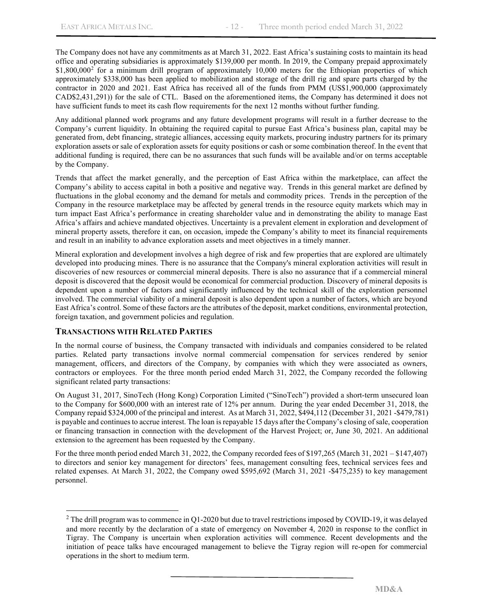The Company does not have any commitments as at March 31, 2022. East Africa's sustaining costs to maintain its head office and operating subsidiaries is approximately \$139,000 per month. In 2019, the Company prepaid approximately \$1,800,000<sup>[2](#page-12-0)</sup> for a minimum drill program of approximately 10,000 meters for the Ethiopian properties of which approximately \$338,000 has been applied to mobilization and storage of the drill rig and spare parts charged by the contractor in 2020 and 2021. East Africa has received all of the funds from PMM (US\$1,900,000 (approximately CAD\$2,431,291)) for the sale of CTL. Based on the aforementioned items, the Company has determined it does not have sufficient funds to meet its cash flow requirements for the next 12 months without further funding.

Any additional planned work programs and any future development programs will result in a further decrease to the Company's current liquidity. In obtaining the required capital to pursue East Africa's business plan, capital may be generated from, debt financing, strategic alliances, accessing equity markets, procuring industry partners for its primary exploration assets or sale of exploration assets for equity positions or cash or some combination thereof. In the event that additional funding is required, there can be no assurances that such funds will be available and/or on terms acceptable by the Company.

Trends that affect the market generally, and the perception of East Africa within the marketplace, can affect the Company's ability to access capital in both a positive and negative way. Trends in this general market are defined by fluctuations in the global economy and the demand for metals and commodity prices. Trends in the perception of the Company in the resource marketplace may be affected by general trends in the resource equity markets which may in turn impact East Africa's performance in creating shareholder value and in demonstrating the ability to manage East Africa's affairs and achieve mandated objectives. Uncertainty is a prevalent element in exploration and development of mineral property assets, therefore it can, on occasion, impede the Company's ability to meet its financial requirements and result in an inability to advance exploration assets and meet objectives in a timely manner.

Mineral exploration and development involves a high degree of risk and few properties that are explored are ultimately developed into producing mines. There is no assurance that the Company's mineral exploration activities will result in discoveries of new resources or commercial mineral deposits. There is also no assurance that if a commercial mineral deposit is discovered that the deposit would be economical for commercial production. Discovery of mineral deposits is dependent upon a number of factors and significantly influenced by the technical skill of the exploration personnel involved. The commercial viability of a mineral deposit is also dependent upon a number of factors, which are beyond East Africa's control. Some of these factors are the attributes of the deposit, market conditions, environmental protection, foreign taxation, and government policies and regulation.

## **TRANSACTIONS WITH RELATED PARTIES**

In the normal course of business, the Company transacted with individuals and companies considered to be related parties. Related party transactions involve normal commercial compensation for services rendered by senior management, officers, and directors of the Company, by companies with which they were associated as owners, contractors or employees. For the three month period ended March 31, 2022, the Company recorded the following significant related party transactions:

On August 31, 2017, SinoTech (Hong Kong) Corporation Limited ("SinoTech") provided a short-term unsecured loan to the Company for \$600,000 with an interest rate of 12% per annum. During the year ended December 31, 2018, the Company repaid \$324,000 of the principal and interest. As at March 31, 2022, \$494,112 (December 31, 2021 -\$479,781) is payable and continues to accrue interest. The loan is repayable 15 days after the Company's closing of sale, cooperation or financing transaction in connection with the development of the Harvest Project; or, June 30, 2021. An additional extension to the agreement has been requested by the Company.

For the three month period ended March 31, 2022, the Company recorded fees of \$197,265 (March 31, 2021 – \$147,407) to directors and senior key management for directors' fees, management consulting fees, technical services fees and related expenses. At March 31, 2022, the Company owed \$595,692 (March 31, 2021 -\$475,235) to key management personnel.

<span id="page-12-0"></span> $2$  The drill program was to commence in Q1-2020 but due to travel restrictions imposed by COVID-19, it was delayed and more recently by the declaration of a state of emergency on November 4, 2020 in response to the conflict in Tigray. The Company is uncertain when exploration activities will commence. Recent developments and the initiation of peace talks have encouraged management to believe the Tigray region will re-open for commercial operations in the short to medium term.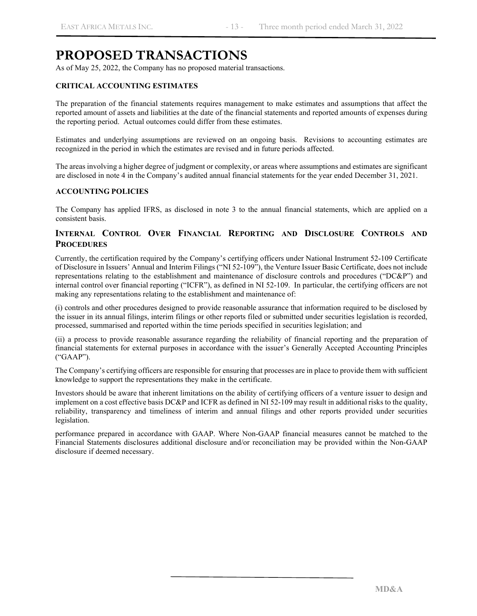## **PROPOSED TRANSACTIONS**

As of May 25, 2022, the Company has no proposed material transactions.

## **CRITICAL ACCOUNTING ESTIMATES**

The preparation of the financial statements requires management to make estimates and assumptions that affect the reported amount of assets and liabilities at the date of the financial statements and reported amounts of expenses during the reporting period. Actual outcomes could differ from these estimates.

Estimates and underlying assumptions are reviewed on an ongoing basis. Revisions to accounting estimates are recognized in the period in which the estimates are revised and in future periods affected.

The areas involving a higher degree of judgment or complexity, or areas where assumptions and estimates are significant are disclosed in note 4 in the Company's audited annual financial statements for the year ended December 31, 2021.

#### **ACCOUNTING POLICIES**

The Company has applied IFRS, as disclosed in note 3 to the annual financial statements, which are applied on a consistent basis.

## **INTERNAL CONTROL OVER FINANCIAL REPORTING AND DISCLOSURE CONTROLS AND PROCEDURES**

Currently, the certification required by the Company's certifying officers under National Instrument 52-109 Certificate of Disclosure in Issuers' Annual and Interim Filings ("NI 52-109"), the Venture Issuer Basic Certificate, does not include representations relating to the establishment and maintenance of disclosure controls and procedures ("DC&P") and internal control over financial reporting ("ICFR"), as defined in NI 52-109. In particular, the certifying officers are not making any representations relating to the establishment and maintenance of:

(i) controls and other procedures designed to provide reasonable assurance that information required to be disclosed by the issuer in its annual filings, interim filings or other reports filed or submitted under securities legislation is recorded, processed, summarised and reported within the time periods specified in securities legislation; and

(ii) a process to provide reasonable assurance regarding the reliability of financial reporting and the preparation of financial statements for external purposes in accordance with the issuer's Generally Accepted Accounting Principles ("GAAP").

The Company's certifying officers are responsible for ensuring that processes are in place to provide them with sufficient knowledge to support the representations they make in the certificate.

Investors should be aware that inherent limitations on the ability of certifying officers of a venture issuer to design and implement on a cost effective basis DC&P and ICFR as defined in NI 52-109 may result in additional risks to the quality, reliability, transparency and timeliness of interim and annual filings and other reports provided under securities legislation.

performance prepared in accordance with GAAP. Where Non-GAAP financial measures cannot be matched to the Financial Statements disclosures additional disclosure and/or reconciliation may be provided within the Non-GAAP disclosure if deemed necessary.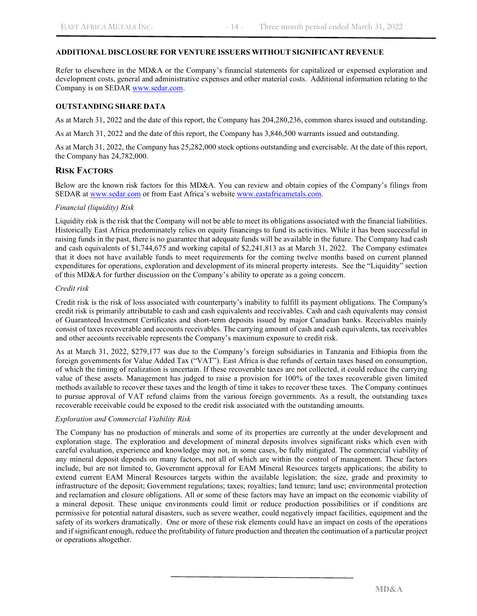## **ADDITIONAL DISCLOSURE FOR VENTURE ISSUERS WITHOUT SIGNIFICANT REVENUE**

Refer to elsewhere in the MD&A or the Company's financial statements for capitalized or expensed exploration and development costs, general and administrative expenses and other material costs. Additional information relating to the Company is on SEDAR [www.sedar.com.](http://www.sedar.com/)

#### **OUTSTANDING SHARE DATA**

As at March 31, 2022 and the date of this report, the Company has 204,280,236, common shares issued and outstanding.

As at March 31, 2022 and the date of this report, the Company has 3,846,500 warrants issued and outstanding.

As at March 31, 2022, the Company has 25,282,000 stock options outstanding and exercisable. At the date of this report, the Company has 24,782,000.

## **RISK FACTORS**

Below are the known risk factors for this MD&A. You can review and obtain copies of the Company's filings from SEDAR at [www.sedar.com](http://www.sedar.com/) or from East Africa's website [www.eastafricametals.com.](http://www.eastafricametals.com/) 

#### *Financial (liquidity) Risk*

Liquidity risk is the risk that the Company will not be able to meet its obligations associated with the financial liabilities. Historically East Africa predominately relies on equity financings to fund its activities. While it has been successful in raising funds in the past, there is no guarantee that adequate funds will be available in the future. The Company had cash and cash equivalents of \$1,744,675 and working capital of \$2,241,813 as at March 31, 2022. The Company estimates that it does not have available funds to meet requirements for the coming twelve months based on current planned expenditures for operations, exploration and development of its mineral property interests. See the "Liquidity" section of this MD&A for further discussion on the Company's ability to operate as a going concern.

#### *Credit risk*

Credit risk is the risk of loss associated with counterparty's inability to fulfill its payment obligations. The Company's credit risk is primarily attributable to cash and cash equivalents and receivables. Cash and cash equivalents may consist of Guaranteed Investment Certificates and short-term deposits issued by major Canadian banks. Receivables mainly consist of taxes recoverable and accounts receivables. The carrying amount of cash and cash equivalents, tax receivables and other accounts receivable represents the Company's maximum exposure to credit risk.

As at March 31, 2022, \$279,177 was due to the Company's foreign subsidiaries in Tanzania and Ethiopia from the foreign governments for Value Added Tax ("VAT"). East Africa is due refunds of certain taxes based on consumption, of which the timing of realization is uncertain. If these recoverable taxes are not collected, it could reduce the carrying value of these assets. Management has judged to raise a provision for 100% of the taxes recoverable given limited methods available to recover these taxes and the length of time it takes to recover these taxes. The Company continues to pursue approval of VAT refund claims from the various foreign governments. As a result, the outstanding taxes recoverable receivable could be exposed to the credit risk associated with the outstanding amounts.

#### *Exploration and Commercial Viability Risk*

The Company has no production of minerals and some of its properties are currently at the under development and exploration stage. The exploration and development of mineral deposits involves significant risks which even with careful evaluation, experience and knowledge may not, in some cases, be fully mitigated. The commercial viability of any mineral deposit depends on many factors, not all of which are within the control of management. These factors include, but are not limited to, Government approval for EAM Mineral Resources targets applications; the ability to extend current EAM Mineral Resources targets within the available legislation; the size, grade and proximity to infrastructure of the deposit; Government regulations; taxes; royalties; land tenure; land use; environmental protection and reclamation and closure obligations. All or some of these factors may have an impact on the economic viability of a mineral deposit. These unique environments could limit or reduce production possibilities or if conditions are permissive for potential natural disasters, such as severe weather, could negatively impact facilities, equipment and the safety of its workers dramatically. One or more of these risk elements could have an impact on costs of the operations and if significant enough, reduce the profitability of future production and threaten the continuation of a particular project or operations altogether.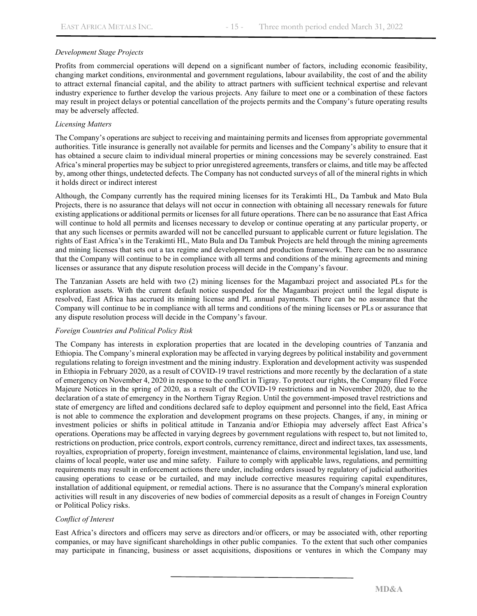#### *Development Stage Projects*

Profits from commercial operations will depend on a significant number of factors, including economic feasibility, changing market conditions, environmental and government regulations, labour availability, the cost of and the ability to attract external financial capital, and the ability to attract partners with sufficient technical expertise and relevant industry experience to further develop the various projects. Any failure to meet one or a combination of these factors may result in project delays or potential cancellation of the projects permits and the Company's future operating results may be adversely affected.

#### *Licensing Matters*

The Company's operations are subject to receiving and maintaining permits and licenses from appropriate governmental authorities. Title insurance is generally not available for permits and licenses and the Company's ability to ensure that it has obtained a secure claim to individual mineral properties or mining concessions may be severely constrained. East Africa's mineral properties may be subject to prior unregistered agreements, transfers or claims, and title may be affected by, among other things, undetected defects. The Company has not conducted surveys of all of the mineral rights in which it holds direct or indirect interest

Although, the Company currently has the required mining licenses for its Terakimti HL, Da Tambuk and Mato Bula Projects, there is no assurance that delays will not occur in connection with obtaining all necessary renewals for future existing applications or additional permits or licenses for all future operations. There can be no assurance that East Africa will continue to hold all permits and licenses necessary to develop or continue operating at any particular property, or that any such licenses or permits awarded will not be cancelled pursuant to applicable current or future legislation. The rights of East Africa's in the Terakimti HL, Mato Bula and Da Tambuk Projects are held through the mining agreements and mining licenses that sets out a tax regime and development and production framework. There can be no assurance that the Company will continue to be in compliance with all terms and conditions of the mining agreements and mining licenses or assurance that any dispute resolution process will decide in the Company's favour.

The Tanzanian Assets are held with two (2) mining licenses for the Magambazi project and associated PLs for the exploration assets. With the current default notice suspended for the Magambazi project until the legal dispute is resolved, East Africa has accrued its mining license and PL annual payments. There can be no assurance that the Company will continue to be in compliance with all terms and conditions of the mining licenses or PLs or assurance that any dispute resolution process will decide in the Company's favour.

#### *Foreign Countries and Political Policy Risk*

The Company has interests in exploration properties that are located in the developing countries of Tanzania and Ethiopia. The Company's mineral exploration may be affected in varying degrees by political instability and government regulations relating to foreign investment and the mining industry. Exploration and development activity was suspended in Ethiopia in February 2020, as a result of COVID-19 travel restrictions and more recently by the declaration of a state of emergency on November 4, 2020 in response to the conflict in Tigray. To protect our rights, the Company filed Force Majeure Notices in the spring of 2020, as a result of the COVID-19 restrictions and in November 2020, due to the declaration of a state of emergency in the Northern Tigray Region. Until the government-imposed travel restrictions and state of emergency are lifted and conditions declared safe to deploy equipment and personnel into the field, East Africa is not able to commence the exploration and development programs on these projects. Changes, if any, in mining or investment policies or shifts in political attitude in Tanzania and/or Ethiopia may adversely affect East Africa's operations. Operations may be affected in varying degrees by government regulations with respect to, but not limited to, restrictions on production, price controls, export controls, currency remittance, direct and indirect taxes, tax assessments, royalties, expropriation of property, foreign investment, maintenance of claims, environmental legislation, land use, land claims of local people, water use and mine safety. Failure to comply with applicable laws, regulations, and permitting requirements may result in enforcement actions there under, including orders issued by regulatory of judicial authorities causing operations to cease or be curtailed, and may include corrective measures requiring capital expenditures, installation of additional equipment, or remedial actions. There is no assurance that the Company's mineral exploration activities will result in any discoveries of new bodies of commercial deposits as a result of changes in Foreign Country or Political Policy risks.

#### *Conflict of Interest*

East Africa's directors and officers may serve as directors and/or officers, or may be associated with, other reporting companies, or may have significant shareholdings in other public companies. To the extent that such other companies may participate in financing, business or asset acquisitions, dispositions or ventures in which the Company may